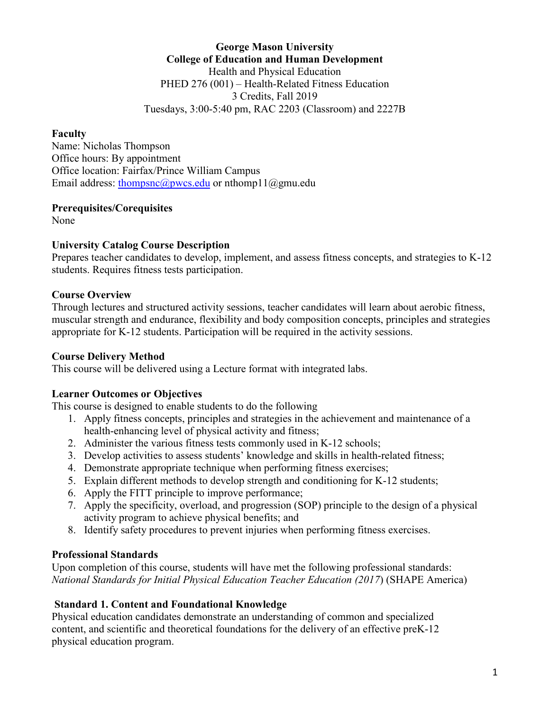# **George Mason University College of Education and Human Development** Health and Physical Education

PHED 276 (001) – Health-Related Fitness Education 3 Credits, Fall 2019 Tuesdays, 3:00-5:40 pm, RAC 2203 (Classroom) and 2227B

## **Faculty**

Name: Nicholas Thompson Office hours: By appointment Office location: Fairfax/Prince William Campus Email address: [thompsnc@pwcs.edu](mailto:thompsnc@pwcs.edu) or nthomp11@gmu.edu

## **Prerequisites/Corequisites**

None

## **University Catalog Course Description**

Prepares teacher candidates to develop, implement, and assess fitness concepts, and strategies to K-12 students. Requires fitness tests participation.

## **Course Overview**

Through lectures and structured activity sessions, teacher candidates will learn about aerobic fitness, muscular strength and endurance, flexibility and body composition concepts, principles and strategies appropriate for K-12 students. Participation will be required in the activity sessions.

### **Course Delivery Method**

This course will be delivered using a Lecture format with integrated labs.

## **Learner Outcomes or Objectives**

This course is designed to enable students to do the following

- 1. Apply fitness concepts, principles and strategies in the achievement and maintenance of a health-enhancing level of physical activity and fitness;
- 2. Administer the various fitness tests commonly used in K-12 schools;
- 3. Develop activities to assess students' knowledge and skills in health-related fitness;
- 4. Demonstrate appropriate technique when performing fitness exercises;
- 5. Explain different methods to develop strength and conditioning for K-12 students;
- 6. Apply the FITT principle to improve performance;
- 7. Apply the specificity, overload, and progression (SOP) principle to the design of a physical activity program to achieve physical benefits; and
- 8. Identify safety procedures to prevent injuries when performing fitness exercises.

## **Professional Standards**

Upon completion of this course, students will have met the following professional standards: *National Standards for Initial Physical Education Teacher Education (2017*) (SHAPE America)

## **Standard 1. Content and Foundational Knowledge**

Physical education candidates demonstrate an understanding of common and specialized content, and scientific and theoretical foundations for the delivery of an effective preK-12 physical education program.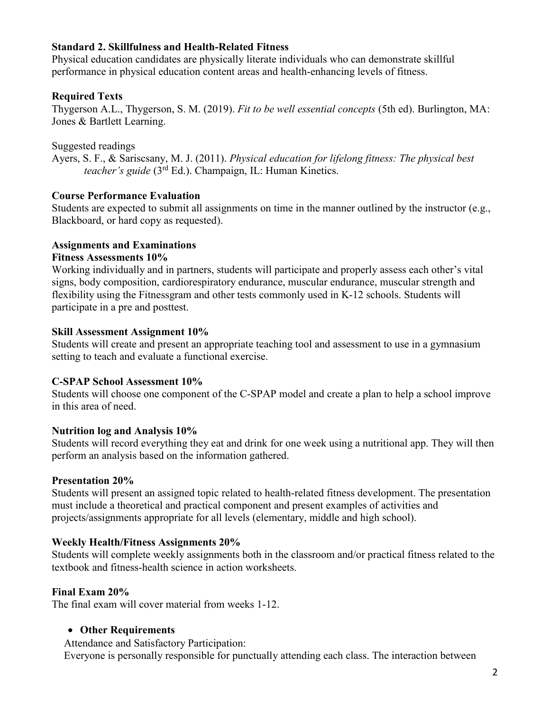### **Standard 2. Skillfulness and Health-Related Fitness**

Physical education candidates are physically literate individuals who can demonstrate skillful performance in physical education content areas and health-enhancing levels of fitness.

# **Required Texts**

Thygerson A.L., Thygerson, S. M. (2019). *Fit to be well essential concepts* (5th ed). Burlington, MA: Jones & Bartlett Learning.

Suggested readings

Ayers, S. F., & Sariscsany, M. J. (2011). *Physical education for lifelong fitness: The physical best teacher's guide* (3rd Ed.). Champaign, IL: Human Kinetics.

# **Course Performance Evaluation**

Students are expected to submit all assignments on time in the manner outlined by the instructor (e.g., Blackboard, or hard copy as requested).

## **Assignments and Examinations**

## **Fitness Assessments 10%**

Working individually and in partners, students will participate and properly assess each other's vital signs, body composition, cardiorespiratory endurance, muscular endurance, muscular strength and flexibility using the Fitnessgram and other tests commonly used in K-12 schools. Students will participate in a pre and posttest.

## **Skill Assessment Assignment 10%**

Students will create and present an appropriate teaching tool and assessment to use in a gymnasium setting to teach and evaluate a functional exercise.

## **C-SPAP School Assessment 10%**

Students will choose one component of the C-SPAP model and create a plan to help a school improve in this area of need.

## **Nutrition log and Analysis 10%**

Students will record everything they eat and drink for one week using a nutritional app. They will then perform an analysis based on the information gathered.

# **Presentation 20%**

Students will present an assigned topic related to health-related fitness development. The presentation must include a theoretical and practical component and present examples of activities and projects/assignments appropriate for all levels (elementary, middle and high school).

# **Weekly Health/Fitness Assignments 20%**

Students will complete weekly assignments both in the classroom and/or practical fitness related to the textbook and fitness-health science in action worksheets.

# **Final Exam 20%**

The final exam will cover material from weeks 1-12.

# • **Other Requirements**

Attendance and Satisfactory Participation:

Everyone is personally responsible for punctually attending each class. The interaction between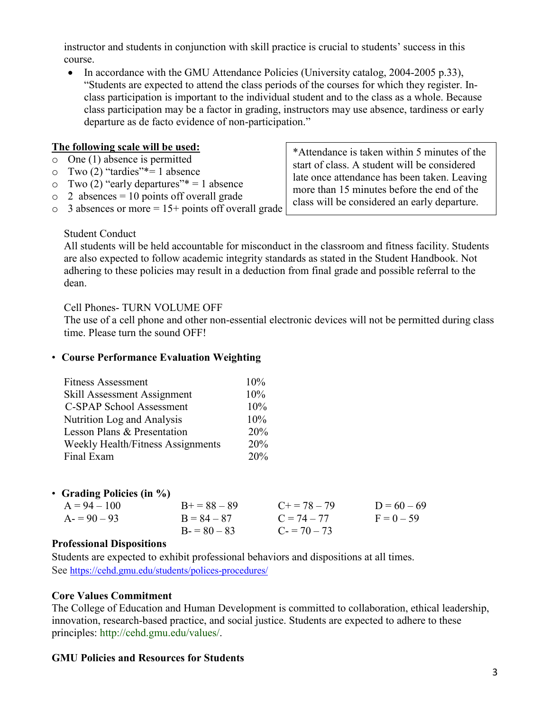instructor and students in conjunction with skill practice is crucial to students' success in this course.

• In accordance with the GMU Attendance Policies (University catalog, 2004-2005 p.33), "Students are expected to attend the class periods of the courses for which they register. Inclass participation is important to the individual student and to the class as a whole. Because class participation may be a factor in grading, instructors may use absence, tardiness or early departure as de facto evidence of non-participation."

#### **The following scale will be used:**

- o One (1) absence is permitted
- $\circ$  Two (2) "tardies"\*= 1 absence
- $\circ$  Two (2) "early departures"\* = 1 absence
- $\circ$  2 absences = 10 points off overall grade
- $\circ$  3 absences or more = 15+ points off overall grade

\*Attendance is taken within 5 minutes of the start of class. A student will be considered late once attendance has been taken. Leaving more than 15 minutes before the end of the class will be considered an early departure.

## Student Conduct

All students will be held accountable for misconduct in the classroom and fitness facility. Students are also expected to follow academic integrity standards as stated in the Student Handbook. Not adhering to these policies may result in a deduction from final grade and possible referral to the dean.

#### Cell Phones- TURN VOLUME OFF

The use of a cell phone and other non-essential electronic devices will not be permitted during class time. Please turn the sound OFF!

### • **Course Performance Evaluation Weighting**

| <b>Fitness Assessment</b>         | 10% |
|-----------------------------------|-----|
| Skill Assessment Assignment       | 10% |
| C-SPAP School Assessment          | 10% |
| Nutrition Log and Analysis        | 10% |
| Lesson Plans & Presentation       | 20% |
| Weekly Health/Fitness Assignments | 20% |
| Final Exam                        | 20% |
|                                   |     |

#### • **Grading Policies (in %)**

| $B+=88-89$<br>$A = 94 - 100$<br>$A = 90 - 93$<br>$B = 84 - 87$<br>$B = 80 - 83$ | $C = 74 - 77$<br>$C = 70 - 73$ | $F = 0 - 59$ |
|---------------------------------------------------------------------------------|--------------------------------|--------------|
|                                                                                 |                                |              |

#### **Professional Dispositions**

Students are expected to exhibit professional behaviors and dispositions at all times. See <https://cehd.gmu.edu/students/polices-procedures/>

#### **Core Values Commitment**

The College of Education and Human Development is committed to collaboration, ethical leadership, innovation, research-based practice, and social justice. Students are expected to adhere to these principles: http://cehd.gmu.edu/values/.

#### **GMU Policies and Resources for Students**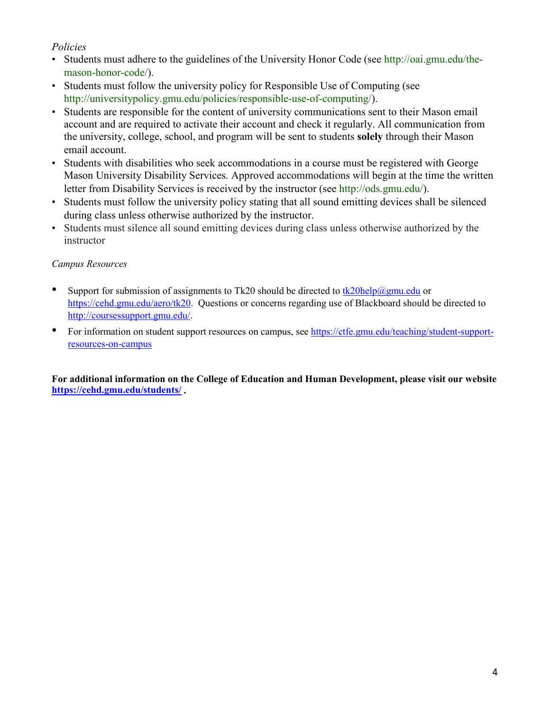## *Policies*

- Students must adhere to the guidelines of the University Honor Code (see http://oai.gmu.edu/themason-honor-code/).
- Students must follow the university policy for Responsible Use of Computing (see http://universitypolicy.gmu.edu/policies/responsible-use-of-computing/).
- Students are responsible for the content of university communications sent to their Mason email account and are required to activate their account and check it regularly. All communication from the university, college, school, and program will be sent to students **solely** through their Mason email account.
- Students with disabilities who seek accommodations in a course must be registered with George Mason University Disability Services. Approved accommodations will begin at the time the written letter from Disability Services is received by the instructor (see http://ods.gmu.edu/).
- Students must follow the university policy stating that all sound emitting devices shall be silenced during class unless otherwise authorized by the instructor.
- Students must silence all sound emitting devices during class unless otherwise authorized by the instructor

## *Campus Resources*

- Support for submission of assignments to Tk20 should be directed to [tk20help@gmu.edu](mailto:tk20help@gmu.edu) or [https://cehd.gmu.edu/aero/tk20.](https://cehd.gmu.edu/aero/tk20) Questions or concerns regarding use of Blackboard should be directed to [http://coursessupport.gmu.edu/.](http://coursessupport.gmu.edu/)
- For information on student support resources on campus, see [https://ctfe.gmu.edu/teaching/student-support](https://ctfe.gmu.edu/teaching/student-support-resources-on-campus)[resources-on-campus](https://ctfe.gmu.edu/teaching/student-support-resources-on-campus)

**For additional information on the College of Education and Human Development, please visit our website <https://cehd.gmu.edu/students/> .**